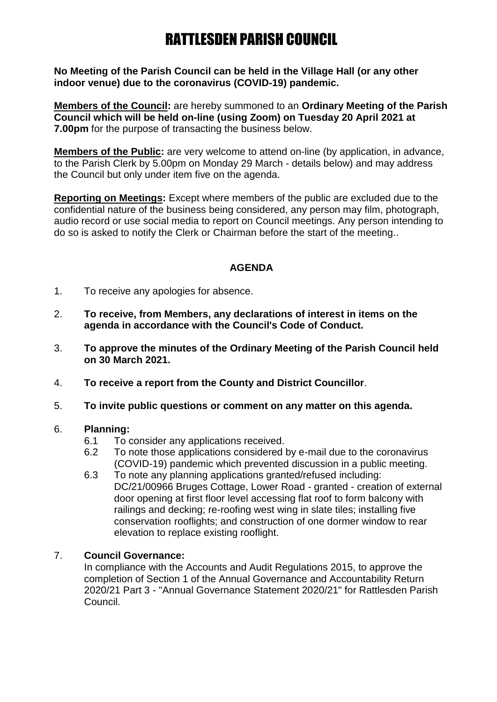# RATTLESDEN PARISH COUNCIL

**No Meeting of the Parish Council can be held in the Village Hall (or any other indoor venue) due to the coronavirus (COVID-19) pandemic.**

**Members of the Council:** are hereby summoned to an **Ordinary Meeting of the Parish Council which will be held on-line (using Zoom) on Tuesday 20 April 2021 at 7.00pm** for the purpose of transacting the business below.

**Members of the Public:** are very welcome to attend on-line (by application, in advance, to the Parish Clerk by 5.00pm on Monday 29 March - details below) and may address the Council but only under item five on the agenda.

**Reporting on Meetings:** Except where members of the public are excluded due to the confidential nature of the business being considered, any person may film, photograph, audio record or use social media to report on Council meetings. Any person intending to do so is asked to notify the Clerk or Chairman before the start of the meeting..

## **AGENDA**

- 1. To receive any apologies for absence.
- 2. **To receive, from Members, any declarations of interest in items on the agenda in accordance with the Council's Code of Conduct.**
- 3. **To approve the minutes of the Ordinary Meeting of the Parish Council held on 30 March 2021.**
- 4. **To receive a report from the County and District Councillor**.
- 5. **To invite public questions or comment on any matter on this agenda.**

#### 6. **Planning:**

- 6.1 To consider any applications received.
- 6.2 To note those applications considered by e-mail due to the coronavirus (COVID-19) pandemic which prevented discussion in a public meeting.
- 6.3 To note any planning applications granted/refused including: DC/21/00966 Bruges Cottage, Lower Road - granted - creation of external door opening at first floor level accessing flat roof to form balcony with railings and decking; re-roofing west wing in slate tiles; installing five conservation rooflights; and construction of one dormer window to rear elevation to replace existing rooflight.

#### 7. **Council Governance:**

In compliance with the Accounts and Audit Regulations 2015, to approve the completion of Section 1 of the Annual Governance and Accountability Return 2020/21 Part 3 - "Annual Governance Statement 2020/21" for Rattlesden Parish Council.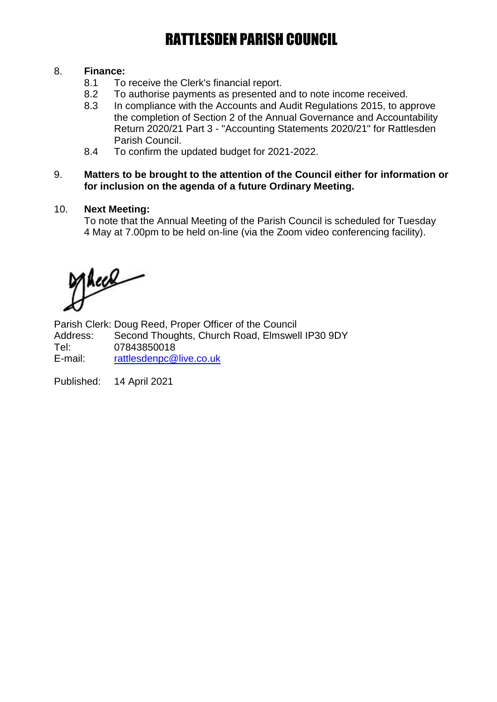# RATTLESDEN PARISH COUNCIL

## 8. **Finance:**

- 8.1 To receive the Clerk's financial report.
- 8.2 To authorise payments as presented and to note income received.
- 8.3 In compliance with the Accounts and Audit Regulations 2015, to approve the completion of Section 2 of the Annual Governance and Accountability Return 2020/21 Part 3 - "Accounting Statements 2020/21" for Rattlesden Parish Council.
- 8.4 To confirm the updated budget for 2021-2022.

#### 9. **Matters to be brought to the attention of the Council either for information or for inclusion on the agenda of a future Ordinary Meeting.**

## 10. **Next Meeting:**

To note that the Annual Meeting of the Parish Council is scheduled for Tuesday 4 May at 7.00pm to be held on-line (via the Zoom video conferencing facility).

Acce

Parish Clerk: Doug Reed, Proper Officer of the Council Address: Second Thoughts, Church Road, Elmswell IP30 9DY Tel: 07843850018 E-mail: [rattlesdenpc@live.co.uk](mailto:rattlesdenpc@live.co.uk)

Published: 14 April 2021